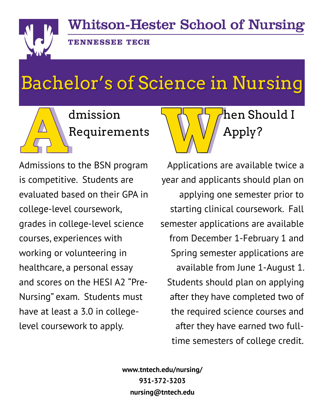**Whitson-Hester School of Nursing** 



**TENNESSEE TECH** 

## Bachelor's of Science in Nursing



Admissions to the BSN program is competitive. Students are evaluated based on their GPA in college-level coursework, grades in college-level science courses, experiences with working or volunteering in healthcare, a personal essay and scores on the HESI A2 "Pre-Nursing" exam. Students must have at least a 3.0 in collegelevel coursework to apply.



Applications are available twice a year and applicants should plan on applying one semester prior to starting clinical coursework. Fall semester applications are available from December 1-February 1 and Spring semester applications are available from June 1-August 1. Students should plan on applying after they have completed two of the required science courses and after they have earned two fulltime semesters of college credit.

**www.tntech.edu/nursing/ 931-372-3203 nursing@tntech.edu**